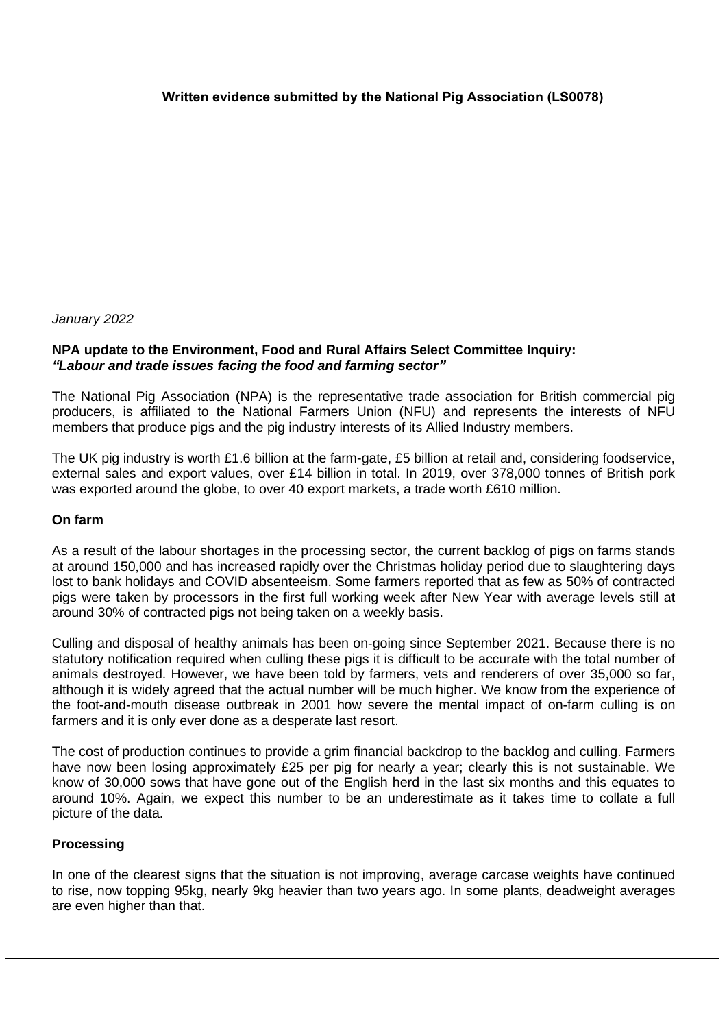## *January 2022*

# **NPA update to the Environment, Food and Rural Affairs Select Committee Inquiry:** *"Labour and trade issues facing the food and farming sector"*

The National Pig Association (NPA) is the representative trade association for British commercial pig producers, is affiliated to the National Farmers Union (NFU) and represents the interests of NFU members that produce pigs and the pig industry interests of its Allied Industry members.

The UK pig industry is worth £1.6 billion at the farm-gate, £5 billion at retail and, considering foodservice, external sales and export values, over £14 billion in total. In 2019, over 378,000 tonnes of British pork was exported around the globe, to over 40 export markets, a trade worth £610 million.

#### **On farm**

As a result of the labour shortages in the processing sector, the current backlog of pigs on farms stands at around 150,000 and has increased rapidly over the Christmas holiday period due to slaughtering days lost to bank holidays and COVID absenteeism. Some farmers reported that as few as 50% of contracted pigs were taken by processors in the first full working week after New Year with average levels still at around 30% of contracted pigs not being taken on a weekly basis.

Culling and disposal of healthy animals has been on-going since September 2021. Because there is no statutory notification required when culling these pigs it is difficult to be accurate with the total number of animals destroyed. However, we have been told by farmers, vets and renderers of over 35,000 so far, although it is widely agreed that the actual number will be much higher. We know from the experience of the foot-and-mouth disease outbreak in 2001 how severe the mental impact of on-farm culling is on farmers and it is only ever done as a desperate last resort.

The cost of production continues to provide a grim financial backdrop to the backlog and culling. Farmers have now been losing approximately £25 per pig for nearly a year; clearly this is not sustainable. We know of 30,000 sows that have gone out of the English herd in the last six months and this equates to around 10%. Again, we expect this number to be an underestimate as it takes time to collate a full picture of the data.

#### **Processing**

In one of the clearest signs that the situation is not improving, average carcase weights have continued to rise, now topping 95kg, nearly 9kg heavier than two years ago. In some plants, deadweight averages are even higher than that.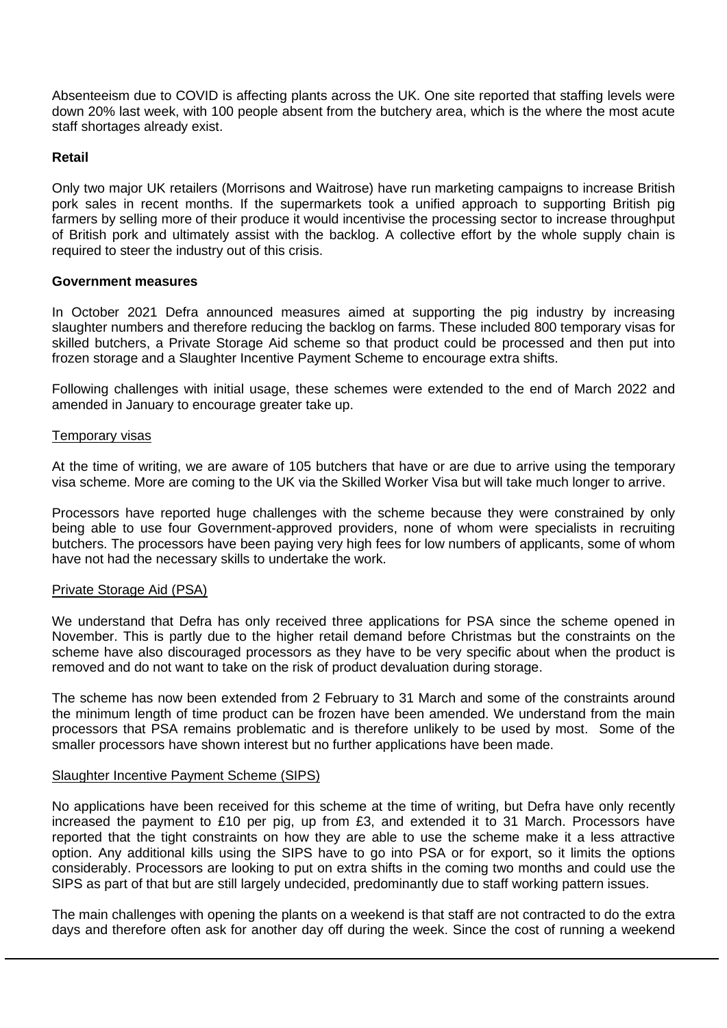Absenteeism due to COVID is affecting plants across the UK. One site reported that staffing levels were down 20% last week, with 100 people absent from the butchery area, which is the where the most acute staff shortages already exist.

# **Retail**

Only two major UK retailers (Morrisons and Waitrose) have run marketing campaigns to increase British pork sales in recent months. If the supermarkets took a unified approach to supporting British pig farmers by selling more of their produce it would incentivise the processing sector to increase throughput of British pork and ultimately assist with the backlog. A collective effort by the whole supply chain is required to steer the industry out of this crisis.

## **Government measures**

In October 2021 Defra announced measures aimed at supporting the pig industry by increasing slaughter numbers and therefore reducing the backlog on farms. These included 800 temporary visas for skilled butchers, a Private Storage Aid scheme so that product could be processed and then put into frozen storage and a Slaughter Incentive Payment Scheme to encourage extra shifts.

Following challenges with initial usage, these schemes were extended to the end of March 2022 and amended in January to encourage greater take up.

## Temporary visas

At the time of writing, we are aware of 105 butchers that have or are due to arrive using the temporary visa scheme. More are coming to the UK via the Skilled Worker Visa but will take much longer to arrive.

Processors have reported huge challenges with the scheme because they were constrained by only being able to use four Government-approved providers, none of whom were specialists in recruiting butchers. The processors have been paying very high fees for low numbers of applicants, some of whom have not had the necessary skills to undertake the work.

#### Private Storage Aid (PSA)

We understand that Defra has only received three applications for PSA since the scheme opened in November. This is partly due to the higher retail demand before Christmas but the constraints on the scheme have also discouraged processors as they have to be very specific about when the product is removed and do not want to take on the risk of product devaluation during storage.

The scheme has now been extended from 2 February to 31 March and some of the constraints around the minimum length of time product can be frozen have been amended. We understand from the main processors that PSA remains problematic and is therefore unlikely to be used by most. Some of the smaller processors have shown interest but no further applications have been made.

#### Slaughter Incentive Payment Scheme (SIPS)

No applications have been received for this scheme at the time of writing, but Defra have only recently increased the payment to £10 per pig, up from £3, and extended it to 31 March. Processors have reported that the tight constraints on how they are able to use the scheme make it a less attractive option. Any additional kills using the SIPS have to go into PSA or for export, so it limits the options considerably. Processors are looking to put on extra shifts in the coming two months and could use the SIPS as part of that but are still largely undecided, predominantly due to staff working pattern issues.

The main challenges with opening the plants on a weekend is that staff are not contracted to do the extra days and therefore often ask for another day off during the week. Since the cost of running a weekend